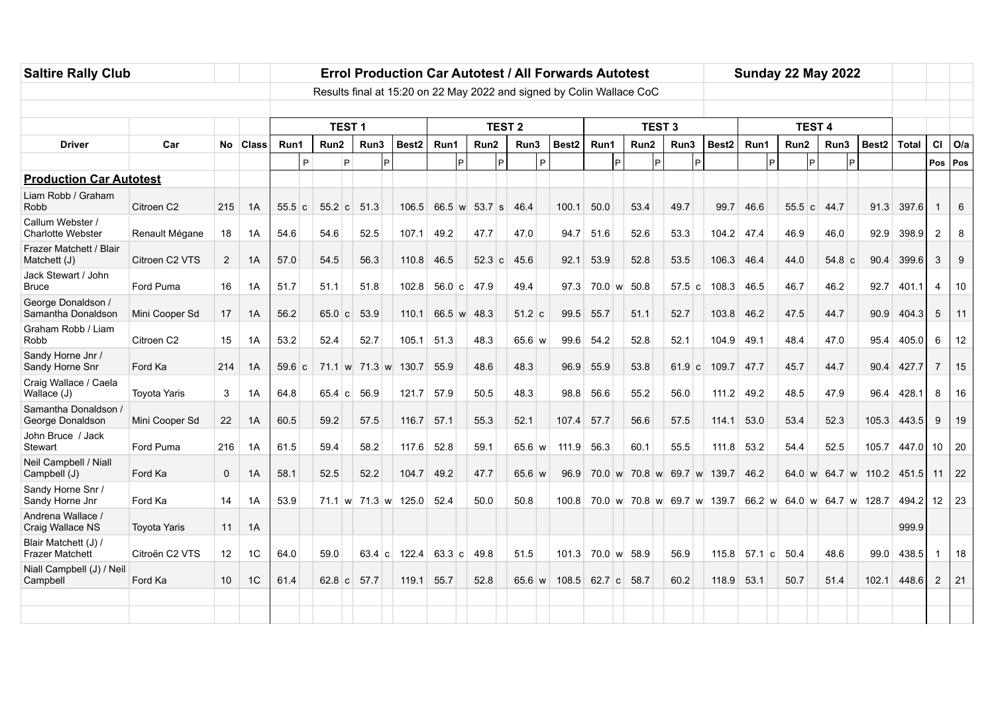| <b>Saltire Rally Club</b>                      |                        |                 |          | Errol Production Car Autotest / All Forwards Autotest |        |   |               |                                                                       |                     |   |                         |      |                  |                   |      |          | <b>Sunday 22 May 2022</b>                             |  |             |                   |              |               |             |        |     |          |    |                     |              |                  |                         |
|------------------------------------------------|------------------------|-----------------|----------|-------------------------------------------------------|--------|---|---------------|-----------------------------------------------------------------------|---------------------|---|-------------------------|------|------------------|-------------------|------|----------|-------------------------------------------------------|--|-------------|-------------------|--------------|---------------|-------------|--------|-----|----------|----|---------------------|--------------|------------------|-------------------------|
|                                                |                        |                 |          |                                                       |        |   |               | Results final at 15:20 on 22 May 2022 and signed by Colin Wallace CoC |                     |   |                         |      |                  |                   |      |          |                                                       |  |             |                   |              |               |             |        |     |          |    |                     |              |                  |                         |
|                                                |                        |                 |          | <b>TEST 2</b>                                         |        |   |               |                                                                       |                     |   |                         |      |                  |                   |      |          |                                                       |  |             |                   |              |               |             |        |     |          |    |                     |              |                  |                         |
| <b>Driver</b>                                  |                        |                 |          | <b>TEST1</b>                                          |        |   |               |                                                                       |                     |   |                         | Run3 |                  | <b>TEST 3</b>     |      |          |                                                       |  |             |                   |              | <b>TEST 4</b> |             |        |     |          |    |                     |              |                  |                         |
|                                                | Car                    |                 | No Class | Run1<br>P                                             | Run2   | P | Run3<br>P     | Best <sub>2</sub>                                                     | Run1                | P | Run2<br>$\overline{P}$  |      | P                | Best <sub>2</sub> | Run1 | <b>P</b> | Run2                                                  |  | Run3<br>l P | Best <sub>2</sub> |              | Run1          |             | Run2   | lP. | Run3     | IР | Best <sub>2</sub>   | <b>Total</b> |                  | $CI$   O/a<br>Pos   Pos |
| <b>Production Car Autotest</b>                 |                        |                 |          |                                                       |        |   |               |                                                                       |                     |   |                         |      |                  |                   |      |          |                                                       |  |             |                   |              |               |             |        |     |          |    |                     |              |                  |                         |
| Liam Robb / Graham<br>Robb                     | Citroen C <sub>2</sub> | 215             | 1A       | 55.5 c                                                | 55.2 c |   | 51.3          | 106.5                                                                 |                     |   | $66.5 \text{ w}$ 53.7 s | 46.4 |                  | 100.1             | 50.0 |          | 53.4                                                  |  | 49.7        | 99.7              | 46.6         |               |             | 55.5 c |     | 44.7     |    | 91.3                | 397.6        |                  | 6                       |
| Callum Webster /<br><b>Charlotte Webster</b>   | Renault Mégane         | 18              | 1A       | 54.6                                                  | 54.6   |   | 52.5          | 107.1                                                                 | 49.2                |   | 47.7                    | 47.0 |                  | 94.7              | 51.6 |          | 52.6                                                  |  | 53.3        |                   | 104.2 47.4   |               |             | 46.9   |     | 46.0     |    | 92.9                | 398.9        | $\overline{2}$   | 8                       |
| Frazer Matchett / Blair<br>Matchett (J)        | Citroen C2 VTS         | $\overline{2}$  | 1A       | 57.0                                                  | 54.5   |   | 56.3          | 110.8                                                                 | 46.5                |   | 52.3 c                  | 45.6 |                  | 92.1              | 53.9 |          | 52.8                                                  |  | 53.5        |                   | 106.3 46.4   |               |             | 44.0   |     | $54.8$ c |    | 90.4                | 399.6        | 3                | 9                       |
| Jack Stewart / John<br>Bruce                   | Ford Puma              | 16              | 1A       | 51.7                                                  | 51.1   |   | 51.8          |                                                                       | $102.8$ 56.0 c 47.9 |   |                         | 49.4 |                  | 97.3              |      |          | 70.0 w 50.8                                           |  | 57.5 c      | 108.3             | 46.5         |               |             | 46.7   |     | 46.2     |    | 92.7                | 401.1        | 4                | 10                      |
| George Donaldson /<br>Samantha Donaldson       | Mini Cooper Sd         | 17              | 1A       | 56.2                                                  | 65.0 c |   | 53.9          | 110.1                                                                 | 66.5 w 48.3         |   |                         |      | $51.2$ c         | 99.5              | 55.7 |          | 51.1                                                  |  | 52.7        | 103.8             |              | 46.2          |             | 47.5   |     | 44.7     |    | 90.9                | 404.3        | 5                | 11                      |
| Graham Robb / Liam<br>Robb                     | Citroen C2             | 15              | 1A       | 53.2                                                  | 52.4   |   | 52.7          | 105.1                                                                 | 51.3                |   | 48.3                    |      | $65.6 \text{ w}$ | 99.6              | 54.2 |          | 52.8                                                  |  | 52.1        | 104.9             | 49.1         |               |             | 48.4   |     | 47.0     |    | 95.4                | 405.0        | 6                | 12                      |
| Sandy Horne Jnr /<br>Sandy Horne Snr           | Ford Ka                | 214             | 1A       | 59.6 c                                                |        |   |               | 71.1 w 71.3 w 130.7                                                   | 55.9                |   | 48.6                    | 48.3 |                  | 96.9              | 55.9 |          | 53.8                                                  |  | $61.9$ c    | 109.7             |              | 47.7          |             | 45.7   |     | 44.7     |    | 90.4                | 427.7        | 7                | 15                      |
| Craig Wallace / Caela<br>Wallace (J)           | <b>Toyota Yaris</b>    | 3               | 1A       | 64.8                                                  |        |   | $65.4 c$ 56.9 |                                                                       | 121.7 57.9          |   | 50.5                    | 48.3 |                  | 98.8              | 56.6 |          | 55.2                                                  |  | 56.0        |                   | $111.2$ 49.2 |               |             | 48.5   |     | 47.9     |    | 96.4                | 428.1        | 8                | 16                      |
| Samantha Donaldson /<br>George Donaldson       | Mini Cooper Sd         | 22              | 1A       | 60.5                                                  | 59.2   |   | 57.5          | 116.7                                                                 | 57.1                |   | 55.3                    | 52.1 |                  | 107.4             | 57.7 |          | 56.6                                                  |  | 57.5        | 114.1             |              | 53.0          |             | 53.4   |     | 52.3     |    | 105.3               | 443.5        | 9                | 19                      |
| John Bruce / Jack<br>Stewart                   | Ford Puma              | 216             | 1A       | 61.5                                                  | 59.4   |   | 58.2          |                                                                       | 117.6 52.8          |   | 59.1                    |      | $65.6 \text{ w}$ | 111.9             | 56.3 |          | 60.1                                                  |  | 55.5        |                   | $111.8$ 53.2 |               |             | 54.4   |     | 52.5     |    |                     | 105.7 447.0  | 10 <sup>°</sup>  | 20                      |
| Neil Campbell / Niall<br>Campbell (J)          | Ford Ka                | 0               | 1A       | 58.1                                                  | 52.5   |   | 52.2          | 104.7                                                                 | 49.2                |   | 47.7                    |      | $65.6 \text{ w}$ | 96.9              |      |          | 70.0 w 70.8 w 69.7 w 139.7 46.2                       |  |             |                   |              |               |             |        |     |          |    | 64.0 w 64.7 w 110.2 | 451.5        | 11               | 22                      |
| Sandy Horne Snr /<br>Sandy Horne Jnr           | Ford Ka                | 14              | 1A       | 53.9                                                  |        |   |               | 71.1 w 71.3 w 125.0                                                   | 52.4                |   | 50.0                    | 50.8 |                  | 100.8             |      |          | 70.0 w 70.8 w 69.7 w 139.7 66.2 w 64.0 w 64.7 w 128.7 |  |             |                   |              |               |             |        |     |          |    |                     | 494.2        | 12 <sup>12</sup> | 23                      |
| Andrena Wallace /<br>Craig Wallace NS          | <b>Toyota Yaris</b>    | 11              | 1A       |                                                       |        |   |               |                                                                       |                     |   |                         |      |                  |                   |      |          |                                                       |  |             |                   |              |               |             |        |     |          |    |                     | 999.9        |                  |                         |
| Blair Matchett (J) /<br><b>Frazer Matchett</b> | Citroën C2 VTS         | 12 <sup>°</sup> | 1C       | 64.0                                                  | 59.0   |   |               | 63.4 c 122.4                                                          | 63.3 c              |   | 49.8                    | 51.5 |                  | 101.3             |      |          | 70.0 w 58.9                                           |  | 56.9        | 115.8             |              |               | 57.1 c 50.4 |        |     | 48.6     |    | 99.0                | 438.5        |                  | 18                      |
| Niall Campbell (J) / Neil<br>Campbell          | Ford Ka                | 10              | 1C       | 61.4                                                  |        |   | 62.8 c 57.7   | 119.1                                                                 | 55.7                |   | 52.8                    |      |                  | 65.6 w 108.5      |      |          | 62.7 c 58.7                                           |  | 60.2        | 118.9             |              | 53.1          |             | 50.7   |     | 51.4     |    | 102.1               | 448.6        | $\overline{2}$   | 21                      |
|                                                |                        |                 |          |                                                       |        |   |               |                                                                       |                     |   |                         |      |                  |                   |      |          |                                                       |  |             |                   |              |               |             |        |     |          |    |                     |              |                  |                         |